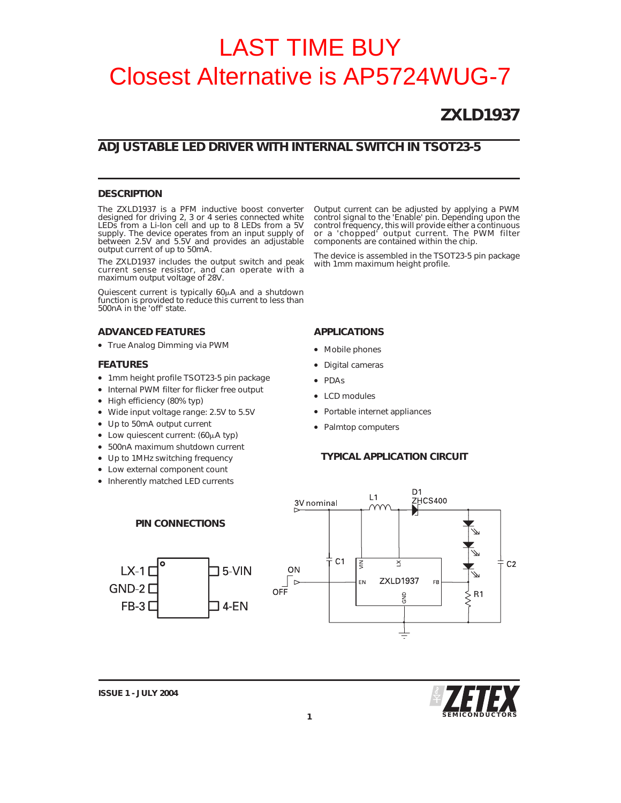## **ZXLD1937**

## **ADJUSTABLE LED DRIVER WITH INTERNAL SWITCH IN TSOT23-5**

### **DESCRIPTION**

The ZXLD1937 is a PFM inductive boost converter designed for driving 2, 3 or 4 series connected white LEDs from a Li-Ion cell and up to 8 LEDs from a 5V supply. The device operates from an input supply of between 2.5V and 5.5V and provides an adjustable output current of up to 50mA.

The ZXLD1937 includes the output switch and peak current sense resistor, and can operate with a maximum output voltage of 28V.

Quiescent current is typically  $60\mu$ A and a shutdown function is provided to reduce this current to less than 500nA in the 'off' state.

### **ADVANCED FEATURES**

• True Analog Dimming via PWM

### **FEATURES**

- 1mm height profile TSOT23-5 pin package
- Internal PWM filter for flicker free output
- High efficiency (80% typ)
- Wide input voltage range: 2.5V to 5.5V
- Up to 50mA output current
- $\bullet$  Low quiescent current: (60 $\mu$ A typ)
- 500nA maximum shutdown current
- Up to 1MHz switching frequency
- Low external component count
- Inherently matched LED currents

Output current can be adjusted by applying a PWM<br>control signal to the 'Enable' pin. Depending upon the<br>control frequency, this will provide either a continuous<br>or a 'chopped' output current. The PWM filter<br>components are

The device is assembled in the TSOT23-5 pin package with 1mm maximum height profile.

### **APPLICATIONS**

- Mobile phones
- Digital cameras
- PDAs
- LCD modules
- Portable internet appliances
- Palmtop computers

#### **TYPICAL APPLICATION CIRCUIT**



**1 SEMICONDUCTORS**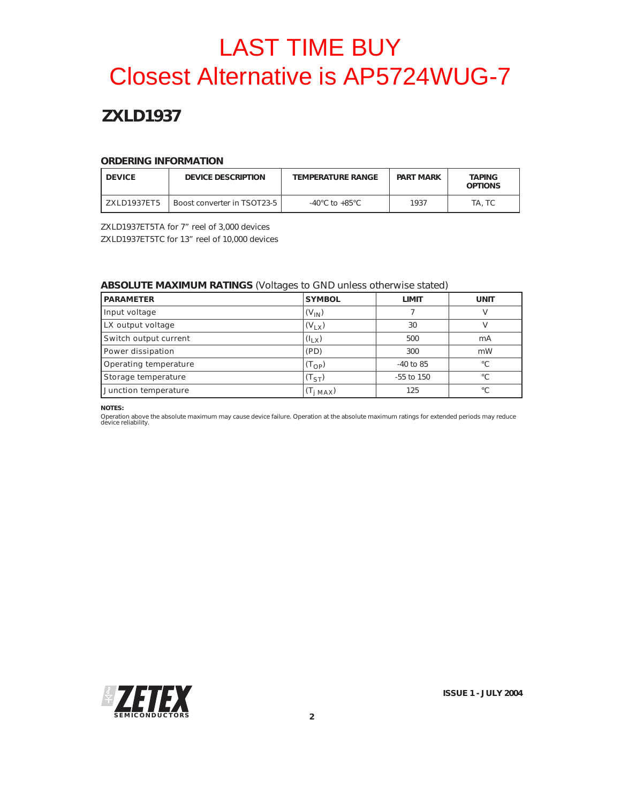# **ZXLD1937**

## **ORDERING INFORMATION**

| I DEVICE        | <b>DEVICE DESCRIPTION</b>   | <b>TEMPERATURE RANGE</b> | <b>PART MARK</b> | <b>TAPING</b><br><b>OPTIONS</b> |
|-----------------|-----------------------------|--------------------------|------------------|---------------------------------|
| l 7 XI D1937FT5 | Boost converter in TSOT23-5 | -40°C to +85°C           | 1937             | TA. TC                          |

ZXLD1937ET5TA for 7" reel of 3,000 devices ZXLD1937ET5TC for 13" reel of 10,000 devices

### **ABSOLUTE MAXIMUM RATINGS** (Voltages to GND unless otherwise stated)

| <b>PARAMETER</b>      | <b>SYMBOL</b>         | <b>LIMIT</b> | <b>UNIT</b>  |
|-----------------------|-----------------------|--------------|--------------|
| Input voltage         | $(V_{\mathsf{IN}})$   |              | V            |
| LX output voltage     | $(V_{LX})$            | 30           | ν            |
| Switch output current | $(I_{LX})$            | 500          | mA           |
| Power dissipation     | (PD)                  | 300          | mW           |
| Operating temperature | $(T_{OP})$            | $-40$ to 85  | $^{\circ}C$  |
| Storage temperature   | (T <sub>ST</sub> )    | $-55$ to 150 | $^{\circ}$ C |
| Junction temperature  | (T <sub>j MAX</sub> ) | 125          | $^{\circ}C$  |

**NOTES:**

Operation above the absolute maximum may cause device failure. Operation at the absolute maximum ratings for extended periods may reduce device reliability.

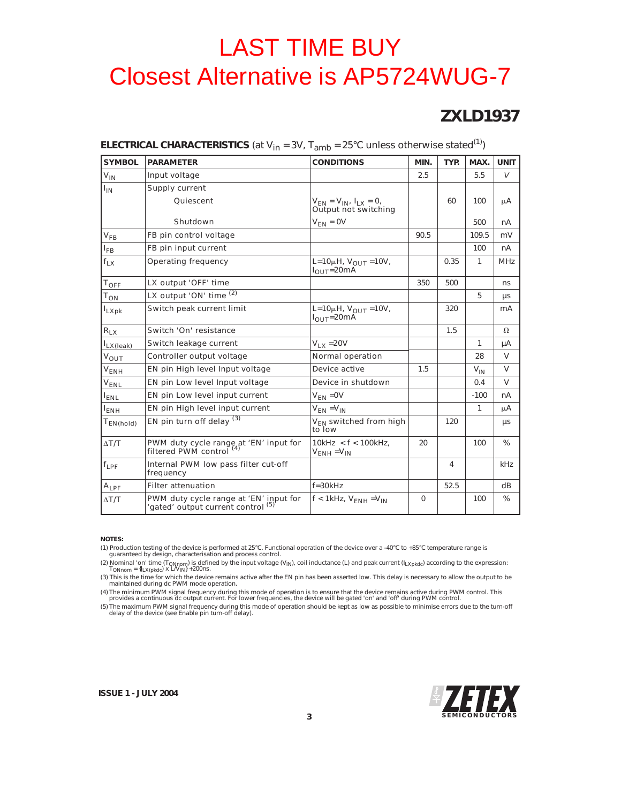# **ZXLD1937**

|  | <b>ELECTRICAL CHARACTERISTICS</b> (at $V_{in}$ = 3V, T <sub>amb</sub> = 25°C unless otherwise stated <sup>(1)</sup> ) |  |
|--|-----------------------------------------------------------------------------------------------------------------------|--|
|--|-----------------------------------------------------------------------------------------------------------------------|--|

| <b>SYMBOL</b>             | <b>PARAMETER</b>                                                                        | <b>CONDITIONS</b>                                          | MIN.     | TYP. | MAX.            | <b>UNIT</b> |
|---------------------------|-----------------------------------------------------------------------------------------|------------------------------------------------------------|----------|------|-----------------|-------------|
| $V_{IN}$                  | Input voltage                                                                           |                                                            | 2.5      |      | 5.5             | V           |
| $I_{IN}$                  | Supply current                                                                          |                                                            |          |      |                 |             |
|                           | Quiescent                                                                               | $V_{FN} = V_{IN},$ $I_{IX} = 0,$<br>Output not switching   |          | 60   | 100             | μA          |
|                           | Shutdown                                                                                | $V_{FN} = 0V$                                              |          |      | 500             | nА          |
| $V_{FB}$                  | FB pin control voltage                                                                  |                                                            | 90.5     |      | 109.5           | mV          |
| $I_{FB}$                  | FB pin input current                                                                    |                                                            |          |      | 100             | nA          |
| $f_{LX}$                  | Operating frequency                                                                     | L=10µH, $V_{OUT}$ =10V,<br>$I_{OUT} = 20m\tilde{A}$        |          | 0.35 | 1               | <b>MHz</b>  |
| $T_{OFF}$                 | LX output 'OFF' time                                                                    |                                                            | 350      | 500  |                 | ns          |
| $T_{ON}$                  | LX output 'ON' time $(2)$                                                               |                                                            |          |      | 5               | μs          |
| $I_{LXpk}$                | Switch peak current limit                                                               | L=10µH, $V_{OUT}$ =10V,<br>$I_{\text{OUT}} = 20 \text{mA}$ |          | 320  |                 | mA          |
| $R_{LX}$                  | Switch 'On' resistance                                                                  |                                                            |          | 1.5  |                 | $\Omega$    |
| $I_{LX(leak)}$            | Switch leakage current                                                                  | $V_{LX} = 20V$                                             |          |      | $\mathbf{1}$    | μA          |
| $V_{OUT}$                 | Controller output voltage                                                               | Normal operation                                           |          |      | 28              | $\vee$      |
| $\mathsf{V}_\mathsf{ENH}$ | EN pin High level Input voltage                                                         | Device active                                              | 1.5      |      | $V_{\text{IN}}$ | $\vee$      |
| V <sub>ENL</sub>          | EN pin Low level Input voltage                                                          | Device in shutdown                                         |          |      | 0.4             | V           |
| $I_{ENL}$                 | EN pin Low level input current                                                          | $V_{FN} = 0V$                                              |          |      | $-100$          | nА          |
| $I_{ENH}$                 | EN pin High level input current                                                         | $V_{FN} = V_{IN}$                                          |          |      | $\mathbf{1}$    | μA          |
| $T_{EN(hold)}$            | EN pin turn off delay (3)                                                               | V <sub>EN</sub> switched from high<br>to low               |          | 120  |                 | μs          |
| $\Delta T/T$              | PWM duty cycle range at 'EN' input for<br>filtered PWM control <sup>(4)</sup>           | 10kHz < $f$ < 100kHz,<br>$V_{\text{FNH}} = V_{\text{IN}}$  | 20       |      | 100             | %           |
| $f_{LPF}$                 | Internal PWM low pass filter cut-off<br>frequency                                       |                                                            |          | 4    |                 | kHz         |
| $A_{LPF}$                 | Filter attenuation                                                                      | $f = 30k$ Hz                                               |          | 52.5 |                 | dB          |
| $\Delta T/T$              | PWM duty cycle range at 'EN' input for<br>'gated' output current control <sup>(5)</sup> | $f < 1$ kHz, $V_{ENH} = V_{IN}$                            | $\Omega$ |      | 100             | %           |

#### **NOTES:**

(1) Production testing of the device is performed at 25°C. Functional operation of the device over a -40°C to +85°C temperature range is guaranteed by design, characterisation and process control.

(2) Nominal 'on' time (T<sub>ONnom</sub>) is defined by the input voltage (V<sub>IN</sub>), coil inductance (L) and peak current (I<sub>LXpkdc</sub>) according to the expression:<br>ToNnom = {I<sub>LX(pkdc</sub>) x L/V<sub>IN</sub>} +200ns.

(3) This is the time for which the device remains active after the EN pin has been asserted low. This delay is necessary to allow the output to be maintained during dc PWM mode operation.

(4) The minimum PWM signal frequency during this mode of operation is to ensure that the device remains active during PWM control. This<br>provides a continuous dc output current. For lower frequencies, the device will be gat

(5) The maximum PWM signal frequency during this mode of operation should be kept as low as possible to minimise errors due to the turn-off delay of the device (see Enable pin turn-off delay).

**SZETEX**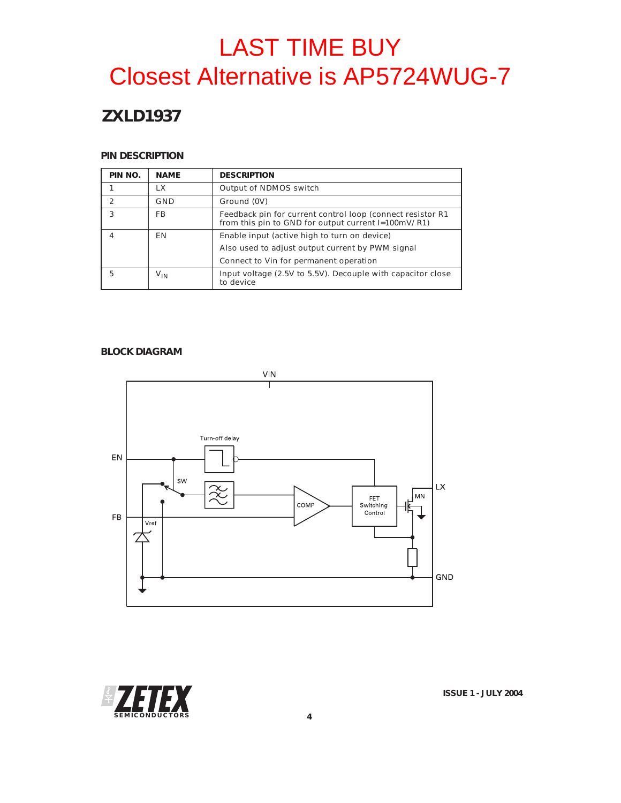# **ZXLD1937**

## **PIN DESCRIPTION**

| PIN NO.        | <b>NAME</b> | <b>DESCRIPTION</b>                                                                                                |
|----------------|-------------|-------------------------------------------------------------------------------------------------------------------|
|                | LX          | Output of NDMOS switch                                                                                            |
| $\mathfrak{p}$ | GND         | Ground (0V)                                                                                                       |
| 3              | FB          | Feedback pin for current control loop (connect resistor R1<br>from this pin to GND for output current I=100mV/R1) |
| 4              | EN          | Enable input (active high to turn on device)                                                                      |
|                |             | Also used to adjust output current by PWM signal                                                                  |
|                |             | Connect to Vin for permanent operation                                                                            |
| 5              | $V_{IN}$    | Input voltage (2.5V to 5.5V). Decouple with capacitor close<br>to device                                          |

## **BLOCK DIAGRAM**



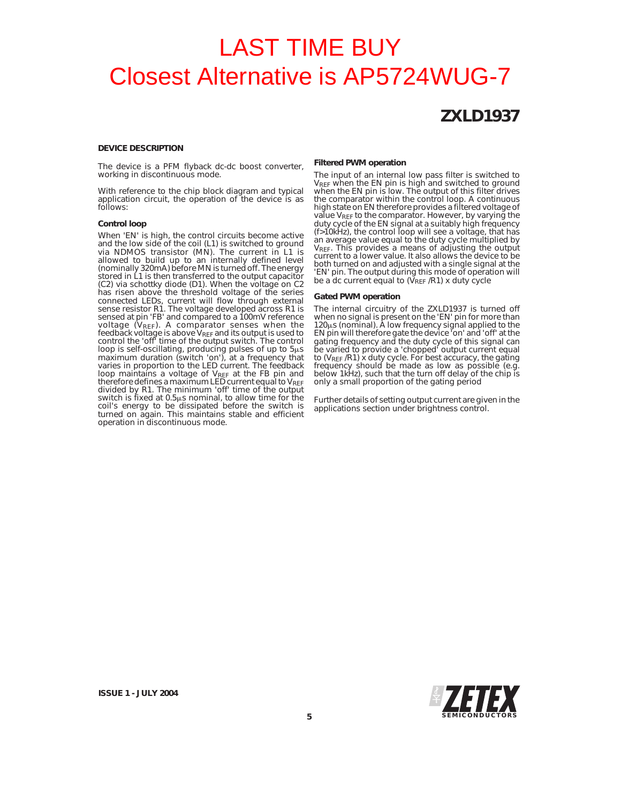## **ZXLD1937**

#### **DEVICE DESCRIPTION**

The device is a PFM flyback dc-dc boost converter, working in discontinuous mode.

With reference to the chip block diagram and typical application circuit, the operation of the device is as follows:

#### **Control loop**

When 'EN' is high, the control circuits become active and the low side of the coil (L1) is switched to ground<br>via NDMOS transistor (MN). The current in L1 is<br>allowed to build up to an internally defined level<br>(nominally 320mA) before MN is turned off. The energy<br>stored in L1 (C2) via schottky diode (D1). When the voltage on C2 has risen above the threshold voltage of the series connected LEDs, current will flow through external sense resistor R1. The voltage developed across R1 is sensed at pin 'FB' and compared to a 100mV reference<br>voltage (V<sub>REF</sub>). A comparator senses when the feedback voltage is above  $V_{REF}$  and its output is used to control the 'off' time of the output switch. The control<br>loop is self-oscillating, producing pulses of up to 5<sub>*ps*</sub> maximum dration (switch 'on'), at a frequency therefore defines a maximum LED current equal to VREF divided by R1. The minimum 'off' time of the output switch is fixed at  $0.5\mu s$  nominal, to allow time for the coil's energy to be dissipated before the switch is turned on again. This maintains stable and efficient operation in discontinuous mode.

#### **Filtered PWM operation**

The input of an internal low pass filter is switched to V<sub>REF</sub> when the EN pin is high and switched to ground<br>when the EN pin is low. The output of this filter drives<br>the comparator within the control loop. A continuous high state on EN therefore provides a filtered voltage of<br>value V<sub>REF</sub> to the comparator. However, by varying the duty cycle of the EN signal at a suitably high frequency (f>10kHz), the control loop will see a voltage, that has an average value equal to the duty cycle multiplied by VREF. This provides a means of adjusting the output current to a lower value. It also allows the device to be both turned on and adjusted with a single signal at the 'EN' pin. The output during this mode of operation will be a dc current equal to ( $V_{REF}$  /R1) x duty cycle

#### **Gated PWM operation**

The internal circuitry of the ZXLD1937 is turned off when no signal is present on the 'EN' pin for more than<br>120μs (nominal). A low frequency signal applied to the EN pin will therefore gate the device 'on' and 'off' at the gating frequency and the duty cycle of this signal can be varied to provide a 'chopped' output current equal to ( $V_{REF}$  /R1) x duty cycle. For best accuracy, the gating frequency should be made as low as possible (e.g. below 1kHz), such that the turn off delay of the chip is only a small proportion of the gating period

Further details of setting output current are given in the applications section under brightness control.

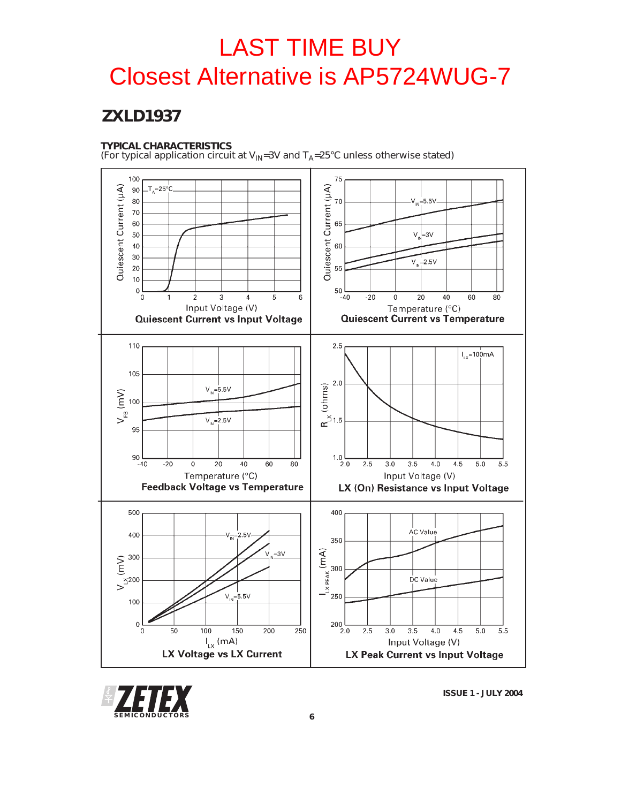# **ZXLD1937**

### **TYPICAL CHARACTERISTICS**

(For typical application circuit at  $V_{IN}$ =3V and  $T_A$ =25°C unless otherwise stated)



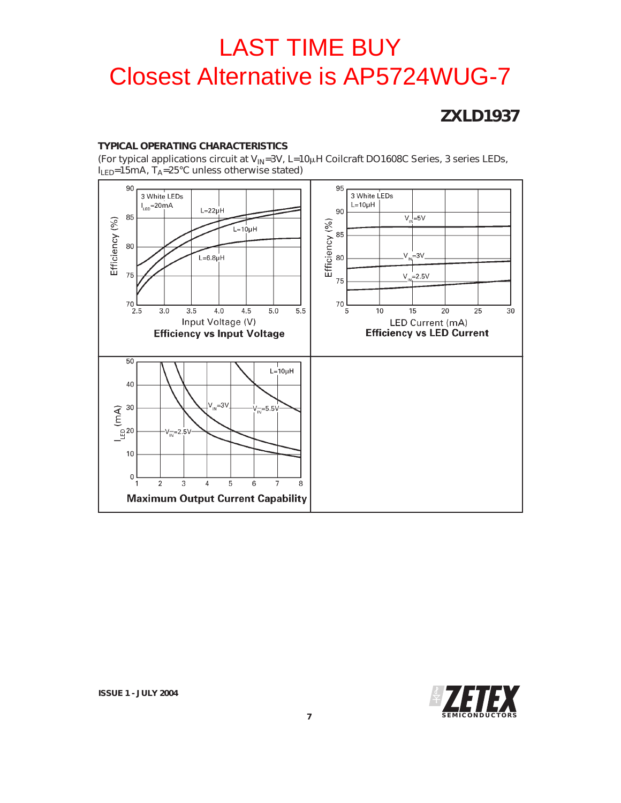# **ZXLD1937**

## **TYPICAL OPERATING CHARACTERISTICS**

(For typical applications circuit at  $V_{\text{IN}}=3V$ , L=10 $\mu$ H Coilcraft DO1608C Series, 3 series LEDs,  $I_{LED}$ =15mA,  $T_A$ =25°C unless otherwise stated)



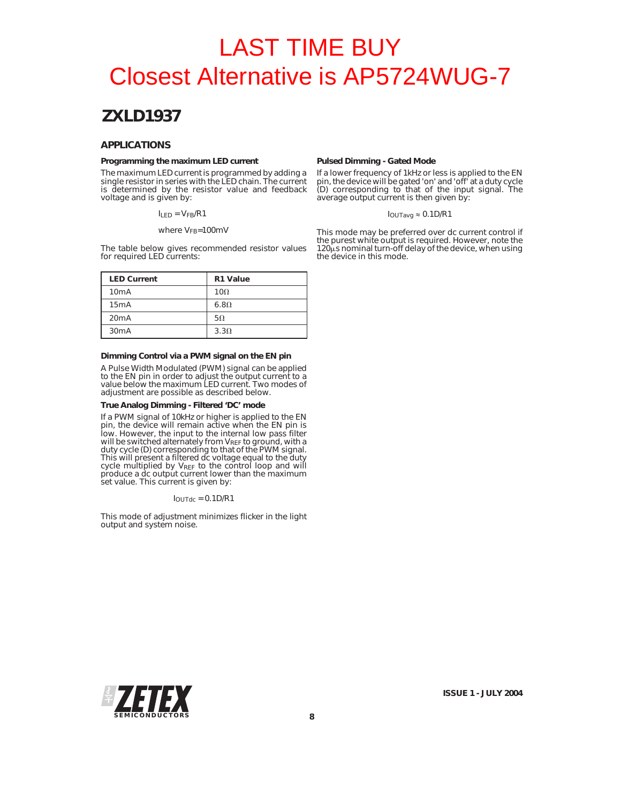# **ZXLD1937**

### **APPLICATIONS**

#### **Programming the maximum LED current**

The maximum LED current is programmed by adding a single resistor in series with the LED chain. The current is determined by the resistor value and feedback voltage and is given by:

 $I_{LED} = V_{FB}/R1$ 

#### where VFB=100mV

The table below gives recommended resistor values for required LED currents:

| <b>LED Current</b> | R1 Value    |
|--------------------|-------------|
| 10mA               | $10\Omega$  |
| 15mA               | $6.8\Omega$ |
| 20mA               | $5\Omega$   |
| 30mA               | $3.3\Omega$ |

#### **Dimming Control via a PWM signal on the EN pin**

A Pulse Width Modulated (PWM) signal can be applied to the EN pin in order to adjust the output current to a value below the maximum LED current. Two modes of adjustment are possible as described below.

#### **True Analog Dimming - Filtered 'DC' mode**

If a PWM signal of 10kHz or higher is applied to the EN pin, the device will remain active when the EN pin is low. However, the input to the internal low pass filter will be switched alternately from VREF to ground, with a duty cycle (D) corresponding to that of the PWM signal.<br>This will present a filtered dc voltage equal to the duty<br>cycle multiplied by V<sub>REF</sub> to the control loop and will<br>produce a dc output current lower than the maximum set value. This current is given by:

 $I_{\text{OUTdc}} = 0.1D/R1$ 

This mode of adjustment minimizes flicker in the light output and system noise.

#### **Pulsed Dimming - Gated Mode**

If a lower frequency of 1kHz or less is applied to the EN pin, the device will be gated 'on' and 'off' at a duty cycle (D) corresponding to that of the input signal. The average output current is then given by:

 $I_{\text{OUTavg}} \approx 0.1 \text{D/R1}$ 

This mode may be preferred over dc current control if the purest white output is required. However, note the  $120\mu$ s nominal turn-off delay of the device, when using the device in this mode.

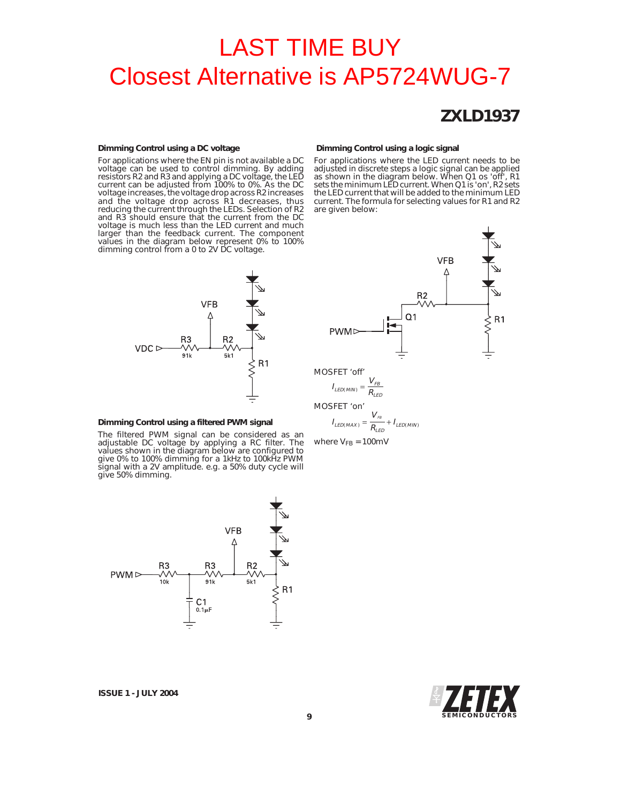## **ZXLD1937**

#### **Dimming Control using a DC voltage**

For applications where the EN pin is not available a DC voltage can be used to control dimming. By adding<br>resistors R2 and R3 and applying a DC voltage, the LED<br>current can be adjusted from 100% to 0%. As the DC<br>voltage increases, the voltage drop across R2 increases<br>and the vo reducing the current through the LEDs. Selection of R2<br>and R3 should ensure that the current from the DC<br>voltage is much less than the LED current and much<br>larger than the feedback current. The component<br>values in the diag



#### **Dimming Control using a filtered PWM signal**

The filtered PWM signal can be considered as an<br>adjustable DC voltage by applying a RC filter. The<br>values shown in the diagram below are configured to<br>give 0% to 100% dimming for a 1kHz to 100kHz PWM<br>signal with a 2V ampli give 50% dimming.



**ISSUE 1 - JULY 2004**

#### **Dimming Control using a logic signal**

For applications where the LED current needs to be adjusted in discrete steps a logic signal can be applied as shown in the diagram below. When Q1 os 'off', R1 sets the minimum LED current. When Q1 is 'on', R2 sets the LED current that will be added to the minimum LED current. The formula for selecting values for R1 and R2 are given below:



MOSFET 'off'

$$
I_{LED(MIN)} = \frac{V_{FB}}{R_{LED}}
$$
  
MOSEET 'on'  

$$
I_{LED(MAX)} = \frac{V_{FB}}{R_{LED}} + I_{LED(MIN)}
$$

where  $V_{FB} = 100 \text{mV}$ 

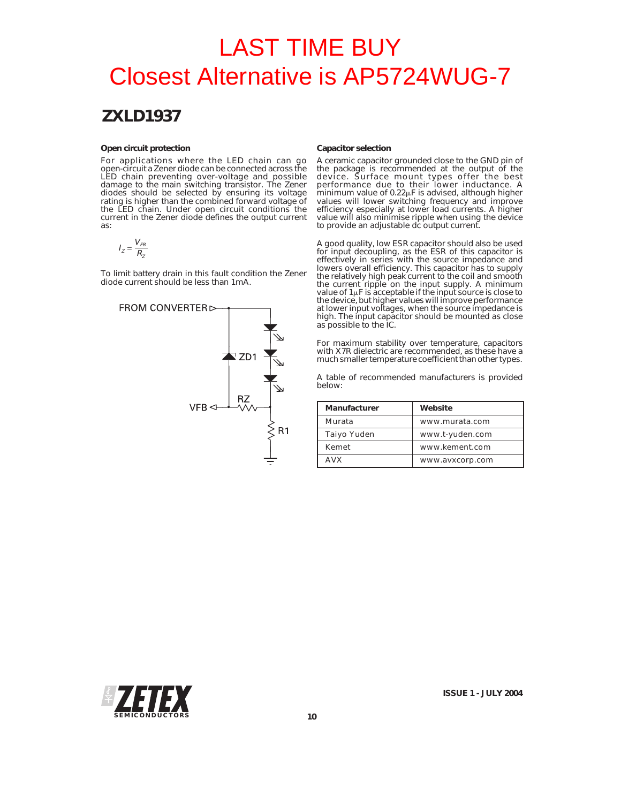# **ZXLD1937**

#### **Open circuit protection**

For applications where the LED chain can go open-circuit a Zener diode can be connected across the<br>LED chain preventing over-voltage and possible<br>damage to the main switching transistor. The Zener<br>diodes should be selected by ensuring its voltage<br>rating is higher th the LED chain. Under open circuit conditions the current in the Zener diode defines the output current as:

$$
I_z = \frac{V_{FB}}{R_z}
$$

To limit battery drain in this fault condition the Zener diode current should be less than 1mA.



#### **Capacitor selection**

A ceramic capacitor grounded close to the GND pin of the package is recommended at the output of the<br>device. Surface mount types offer the best<br>performance due to their lower inductance. A<br>minimum value of 0.22µF is advised, although higher<br>values will lower switching freque

A good quality, low ESR capacitor should also be used for input decoupling, as the ESR of this capacitor is<br>effectively in series with the source impedance and<br>lowers overall efficiency. This capacitor has to supply<br>the relatively high peak current to the coil and smooth<br>the at lower input voltages, when the source impedance is high. The input capacitor should be mounted as close as possible to the IC.

For maximum stability over temperature, capacitors with X7R dielectric are recommended, as these have a much smaller temperature coefficient than other types.

A table of recommended manufacturers is provided below:

| Manufacturer | Website         |  |  |
|--------------|-----------------|--|--|
| Murata       | www.murata.com  |  |  |
| Taiyo Yuden  | www.t-yuden.com |  |  |
| Kemet        | www.kement.com  |  |  |
| AVX          | www.avxcorp.com |  |  |

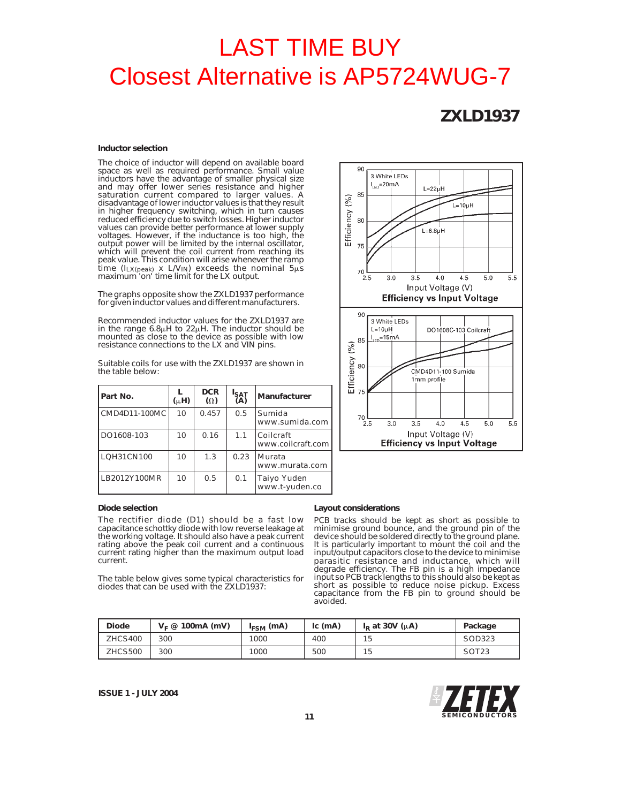# **ZXLD1937**

#### **Inductor selection**

The choice of inductor will depend on available board space as well as required performance. Small value inductors have the advantage of smaller physical size and may offer lower series resistance and higher saturation current compared to larger values. A disadvantage of lower inductor values is that they result in higher frequency switching, which in turn causes reduced efficiency due to switch losses. Higher inductor values can provide better performance at lower supply voltages. However, if the inductance is too high, the output power will be limited by the internal oscillator, which will prevent the coil current from reaching its<br>peak value. This condition will arise whenever the ramp<br>time (I<sub>LX(peak)</sub> x L/V<sub>IN</sub>) exceeds the nominal 5µs<br>maximum 'on' time limit for the LX output.

The graphs opposite show the ZXLD1937 performance for given inductor values and different manufacturers.

Recommended inductor values for the ZXLD1937 are in the range  $6.8\mu$ H to  $22\mu$ H. The inductor should be mounted as close to the device as possible with low resistance connections to the LX and VIN pins.

Suitable coils for use with the ZXLD1937 are shown in the table below:

| Part No.      | $(\mu H)$ | <b>DCR</b><br>$(\Omega)$ | $I_{\text{SAT}}$<br>(A) | Manufacturer                   |
|---------------|-----------|--------------------------|-------------------------|--------------------------------|
| CMD4D11-100MC | 10        | 0.457                    | 0.5                     | Sumida<br>www.sumida.com       |
| DO1608-103    | 10        | 0.16                     | 1.1                     | Coilcraft<br>www.coilcraft.com |
| LQH31CN100    | 10        | 1.3                      | 0.23                    | l Murata<br>www.murata.com     |
| LB2012Y100MR  | 10        | 0.5                      | 0.1                     | Taiyo Yuden<br>www.t-yuden.co  |



The rectifier diode (D1) should be a fast low capacitance schottky diode with low reverse leakage at the working voltage. It should also have a peak current rating above the peak coil current and a continuous current rating higher than the maximum output load current.

The table below gives some typical characteristics for diodes that can be used with the ZXLD1937:



#### **Layout considerations**

PCB tracks should be kept as short as possible to minimise ground bounce, and the ground pin of the device should be soldered directly to the ground plane. It is particularly important to mount the coil and the input/output capacitors close to the device to minimise parasitic resistance and inductance, which will degrade efficiency. The FB pin is a high impedance input so PCB track lengths to this should also be kept as short as possible to reduce noise pickup. Excess capacitance from the FB pin to ground should be avoided.

| Diode          | $V_F \n\textcircled{a}$ 100mA (mV) | $I_{FSM}$ (mA) | $lc$ (mA) | $ID$ at 30V ( $\mu$ A) | Package           |
|----------------|------------------------------------|----------------|-----------|------------------------|-------------------|
| ZHCS400        | 300                                | 1000           | 400       | 15                     | SOD323            |
| <b>ZHCS500</b> | 300                                | 1000           | 500       | 15                     | SOT <sub>23</sub> |

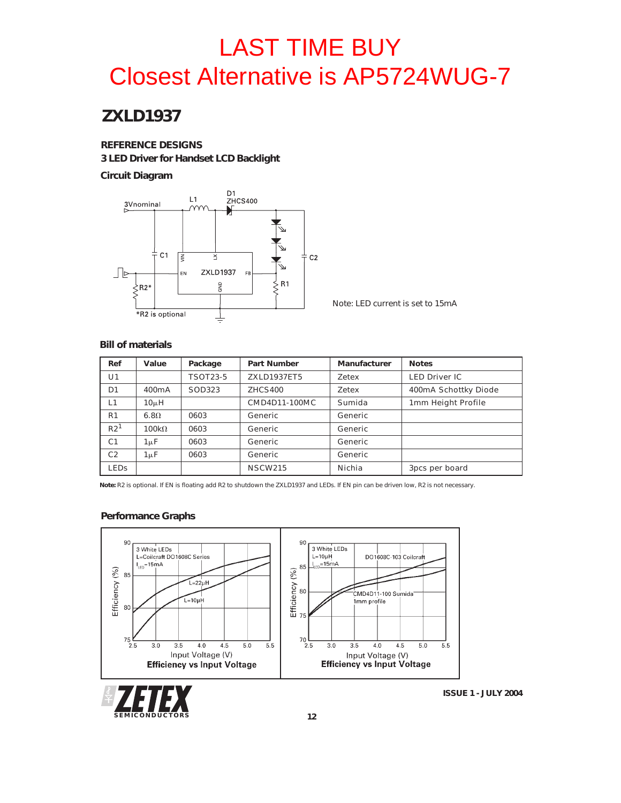# **ZXLD1937**

## **REFERENCE DESIGNS**

**3 LED Driver for Handset LCD Backlight**

## **Circuit Diagram**



Note: LED current is set to 15mA

### **Bill of materials**

| Ref             | Value              | Package         | <b>Part Number</b> | Manufacturer | <b>Notes</b>         |
|-----------------|--------------------|-----------------|--------------------|--------------|----------------------|
| U1              |                    | <b>TSOT23-5</b> | ZXLD1937ET5        | Zetex        | <b>LED Driver IC</b> |
| D <sub>1</sub>  | 400 <sub>m</sub> A | SOD323          | <b>ZHCS400</b>     | Zetex        | 400mA Schottky Diode |
| L1              | $10\mu$ H          |                 | CMD4D11-100MC      | Sumida       | 1mm Height Profile   |
| R <sub>1</sub>  | $6.8\Omega$        | 0603            | Generic            | Generic      |                      |
| R2 <sup>1</sup> | $100k\Omega$       | 0603            | Generic            | Generic      |                      |
| C <sub>1</sub>  | $1 \mu F$          | 0603            | Generic            | Generic      |                      |
| C <sub>2</sub>  | $1 \mu F$          | 0603            | Generic            | Generic      |                      |
| <b>LEDs</b>     |                    |                 | <b>NSCW215</b>     | Nichia       | 3pcs per board       |

**Note:** R2 is optional. If EN is floating add R2 to shutdown the ZXLD1937 and LEDs. If EN pin can be driven low, R2 is not necessary.

## **Performance Graphs**



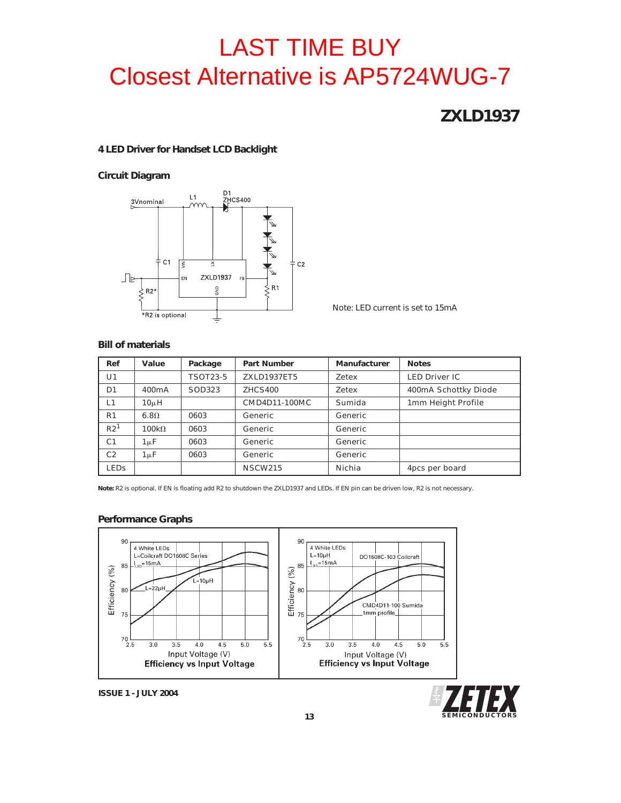# **ZXLD1937**

### **4 LED Driver for Handset LCD Backlight**

## **Circuit Diagram**



Note: LED current is set to 15mA

## **Bill of materials**

| Ref             | Value        | Package         | <b>Part Number</b> | Manufacturer | <b>Notes</b>         |
|-----------------|--------------|-----------------|--------------------|--------------|----------------------|
| U1              |              | <b>TSOT23-5</b> | ZXLD1937ET5        | Zetex        | <b>LED Driver IC</b> |
| D <sub>1</sub>  | 400mA        | SOD323          | <b>ZHCS400</b>     | Zetex        | 400mA Schottky Diode |
| L1              | $10\muH$     |                 | CMD4D11-100MC      | Sumida       | 1mm Height Profile   |
| R <sub>1</sub>  | $6.8\Omega$  | 0603            | Generic            | Generic      |                      |
| R2 <sup>1</sup> | $100k\Omega$ | 0603            | Generic            | Generic      |                      |
| C <sub>1</sub>  | $1 \mu F$    | 0603            | Generic            | Generic      |                      |
| C <sub>2</sub>  | $1 \mu F$    | 0603            | Generic            | Generic      |                      |
| <b>LEDS</b>     |              |                 | <b>NSCW215</b>     | Nichia       | 4pcs per board       |

**Note:** R2 is optional. If EN is floating add R2 to shutdown the ZXLD1937 and LEDs. If EN pin can be driven low, R2 is not necessary.

### **Performance Graphs**



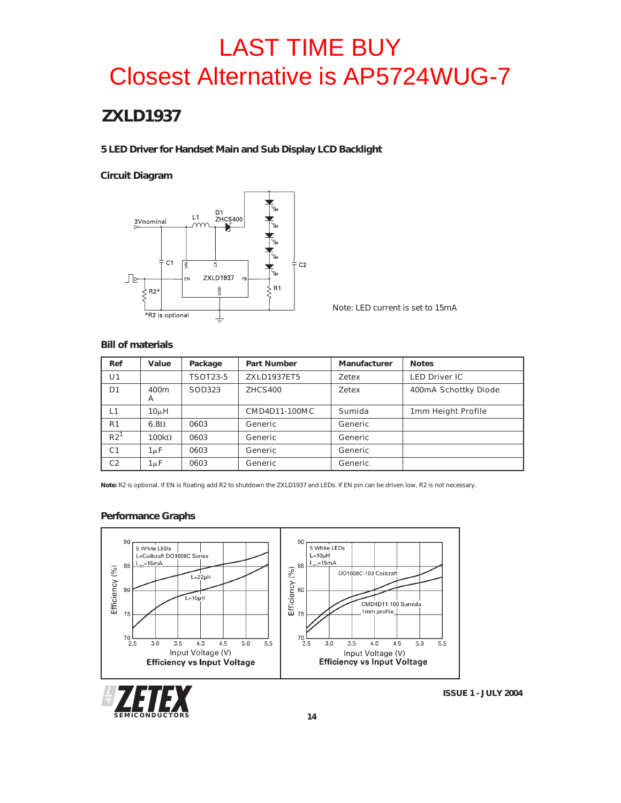# **ZXLD1937**

## **5 LED Driver for Handset Main and Sub Display LCD Backlight**

## **Circuit Diagram**



Note: LED current is set to 15mA

### **Bill of materials**

| Ref             | Value        | Package         | <b>Part Number</b> | Manufacturer | <b>Notes</b>         |
|-----------------|--------------|-----------------|--------------------|--------------|----------------------|
| U1              |              | <b>TSOT23-5</b> | ZXLD1937ET5        | Zetex        | <b>LED Driver IC</b> |
| D <sub>1</sub>  | 400m<br>A    | SOD323          | ZHCS400            | Zetex        | 400mA Schottky Diode |
| L1              | $10\muH$     |                 | CMD4D11-100MC      | Sumida       | 1mm Height Profile   |
| R <sub>1</sub>  | $6.8\Omega$  | 0603            | Generic            | Generic      |                      |
| R2 <sup>1</sup> | $100k\Omega$ | 0603            | Generic            | Generic      |                      |
| C <sub>1</sub>  | $1 \mu F$    | 0603            | Generic            | Generic      |                      |
| C <sub>2</sub>  | 1μF          | 0603            | Generic            | Generic      |                      |

**Note:** R2 is optional. If EN is floating add R2 to shutdown the ZXLD1937 and LEDs. If EN pin can be driven low, R2 is not necessary.

### **Performance Graphs**

**SEMICONDUCTORS**

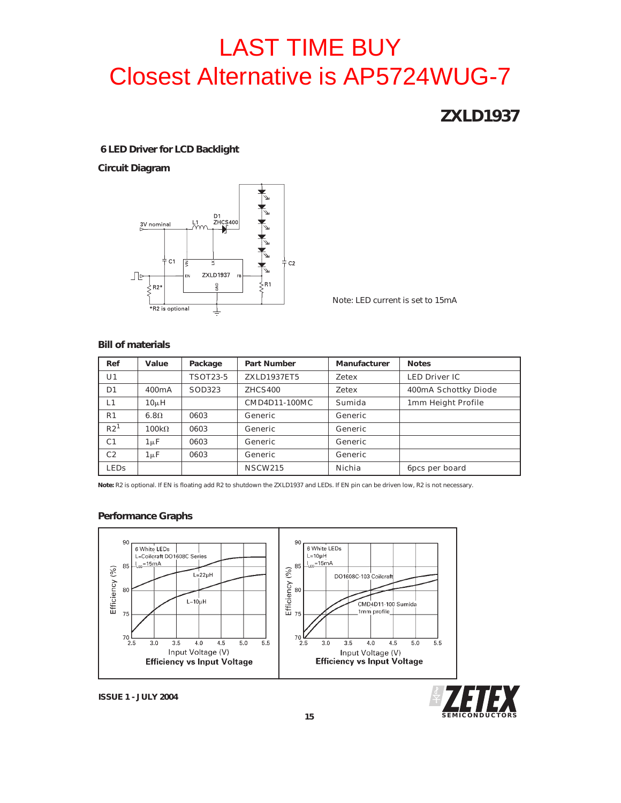# **ZXLD1937**

**6 LED Driver for LCD Backlight**

**Circuit Diagram**



Note: LED current is set to 15mA

### **Bill of materials**

| Ref             | Value        | Package         | Part Number    | Manufacturer | <b>Notes</b>         |
|-----------------|--------------|-----------------|----------------|--------------|----------------------|
| U1              |              | <b>TSOT23-5</b> | ZXLD1937ET5    | Zetex        | <b>LED Driver IC</b> |
| D <sub>1</sub>  | 400mA        | SOD323          | ZHCS400        | Zetex        | 400mA Schottky Diode |
| L1              | $10\muH$     |                 | CMD4D11-100MC  | Sumida       | 1mm Height Profile   |
| R <sub>1</sub>  | $6.8\Omega$  | 0603            | Generic        | Generic      |                      |
| R2 <sup>1</sup> | $100k\Omega$ | 0603            | Generic        | Generic      |                      |
| C <sub>1</sub>  | 1μF          | 0603            | Generic        | Generic      |                      |
| C <sub>2</sub>  | 1μF          | 0603            | Generic        | Generic      |                      |
| <b>LEDS</b>     |              |                 | <b>NSCW215</b> | Nichia       | 6pcs per board       |

**Note:** R2 is optional. If EN is floating add R2 to shutdown the ZXLD1937 and LEDs. If EN pin can be driven low, R2 is not necessary.

## **Performance Graphs**